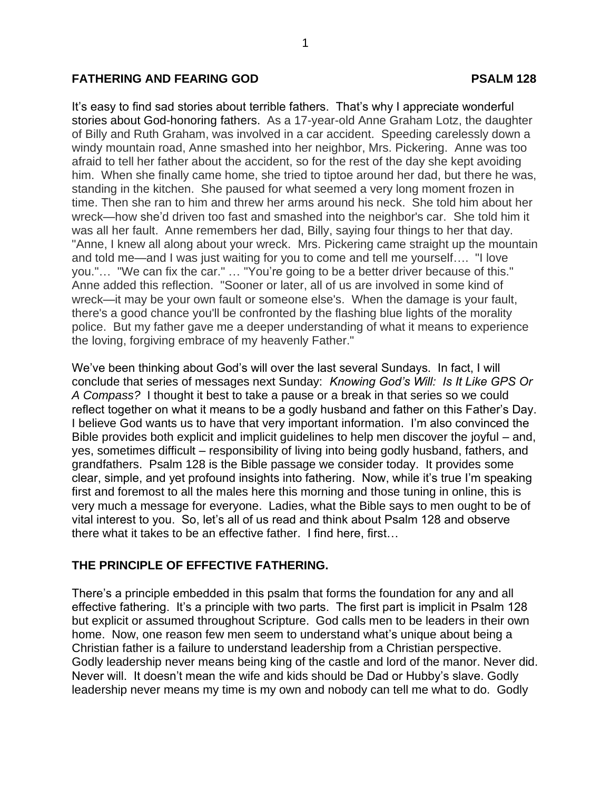## **FATHERING AND FEARING GOD PSALM 128**

It's easy to find sad stories about terrible fathers. That's why I appreciate wonderful stories about God-honoring fathers. As a 17-year-old Anne Graham Lotz, the daughter of Billy and Ruth Graham, was involved in a car accident. Speeding carelessly down a windy mountain road, Anne smashed into her neighbor, Mrs. Pickering. Anne was too afraid to tell her father about the accident, so for the rest of the day she kept avoiding him. When she finally came home, she tried to tiptoe around her dad, but there he was, standing in the kitchen. She paused for what seemed a very long moment frozen in time. Then she ran to him and threw her arms around his neck. She told him about her wreck—how she'd driven too fast and smashed into the neighbor's car. She told him it was all her fault. Anne remembers her dad, Billy, saying four things to her that day. "Anne, I knew all along about your wreck. Mrs. Pickering came straight up the mountain and told me—and I was just waiting for you to come and tell me yourself…. "I love you."… "We can fix the car." … "You're going to be a better driver because of this." Anne added this reflection. "Sooner or later, all of us are involved in some kind of wreck—it may be your own fault or someone else's. When the damage is your fault, there's a good chance you'll be confronted by the flashing blue lights of the morality police. But my father gave me a deeper understanding of what it means to experience the loving, forgiving embrace of my heavenly Father."

We've been thinking about God's will over the last several Sundays. In fact, I will conclude that series of messages next Sunday: *Knowing God's Will: Is It Like GPS Or A Compass?* I thought it best to take a pause or a break in that series so we could reflect together on what it means to be a godly husband and father on this Father's Day. I believe God wants us to have that very important information. I'm also convinced the Bible provides both explicit and implicit guidelines to help men discover the joyful – and, yes, sometimes difficult – responsibility of living into being godly husband, fathers, and grandfathers. Psalm 128 is the Bible passage we consider today. It provides some clear, simple, and yet profound insights into fathering. Now, while it's true I'm speaking first and foremost to all the males here this morning and those tuning in online, this is very much a message for everyone. Ladies, what the Bible says to men ought to be of vital interest to you. So, let's all of us read and think about Psalm 128 and observe there what it takes to be an effective father. I find here, first…

## **THE PRINCIPLE OF EFFECTIVE FATHERING.**

There's a principle embedded in this psalm that forms the foundation for any and all effective fathering. It's a principle with two parts. The first part is implicit in Psalm 128 but explicit or assumed throughout Scripture. God calls men to be leaders in their own home. Now, one reason few men seem to understand what's unique about being a Christian father is a failure to understand leadership from a Christian perspective. Godly leadership never means being king of the castle and lord of the manor. Never did. Never will. It doesn't mean the wife and kids should be Dad or Hubby's slave. Godly leadership never means my time is my own and nobody can tell me what to do. Godly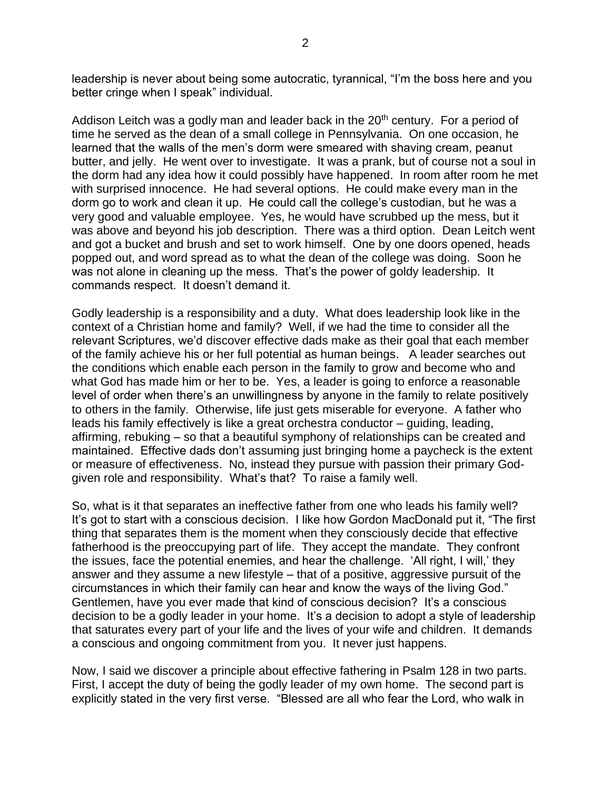leadership is never about being some autocratic, tyrannical, "I'm the boss here and you better cringe when I speak" individual.

Addison Leitch was a godly man and leader back in the  $20<sup>th</sup>$  century. For a period of time he served as the dean of a small college in Pennsylvania. On one occasion, he learned that the walls of the men's dorm were smeared with shaving cream, peanut butter, and jelly. He went over to investigate. It was a prank, but of course not a soul in the dorm had any idea how it could possibly have happened. In room after room he met with surprised innocence. He had several options. He could make every man in the dorm go to work and clean it up. He could call the college's custodian, but he was a very good and valuable employee. Yes, he would have scrubbed up the mess, but it was above and beyond his job description. There was a third option. Dean Leitch went and got a bucket and brush and set to work himself. One by one doors opened, heads popped out, and word spread as to what the dean of the college was doing. Soon he was not alone in cleaning up the mess. That's the power of goldy leadership. It commands respect. It doesn't demand it.

Godly leadership is a responsibility and a duty. What does leadership look like in the context of a Christian home and family? Well, if we had the time to consider all the relevant Scriptures, we'd discover effective dads make as their goal that each member of the family achieve his or her full potential as human beings. A leader searches out the conditions which enable each person in the family to grow and become who and what God has made him or her to be. Yes, a leader is going to enforce a reasonable level of order when there's an unwillingness by anyone in the family to relate positively to others in the family. Otherwise, life just gets miserable for everyone. A father who leads his family effectively is like a great orchestra conductor – guiding, leading, affirming, rebuking – so that a beautiful symphony of relationships can be created and maintained. Effective dads don't assuming just bringing home a paycheck is the extent or measure of effectiveness. No, instead they pursue with passion their primary Godgiven role and responsibility. What's that? To raise a family well.

So, what is it that separates an ineffective father from one who leads his family well? It's got to start with a conscious decision. I like how Gordon MacDonald put it, "The first thing that separates them is the moment when they consciously decide that effective fatherhood is the preoccupying part of life. They accept the mandate. They confront the issues, face the potential enemies, and hear the challenge. 'All right, I will,' they answer and they assume a new lifestyle – that of a positive, aggressive pursuit of the circumstances in which their family can hear and know the ways of the living God." Gentlemen, have you ever made that kind of conscious decision? It's a conscious decision to be a godly leader in your home. It's a decision to adopt a style of leadership that saturates every part of your life and the lives of your wife and children. It demands a conscious and ongoing commitment from you. It never just happens.

Now, I said we discover a principle about effective fathering in Psalm 128 in two parts. First, I accept the duty of being the godly leader of my own home. The second part is explicitly stated in the very first verse. "Blessed are all who fear the Lord, who walk in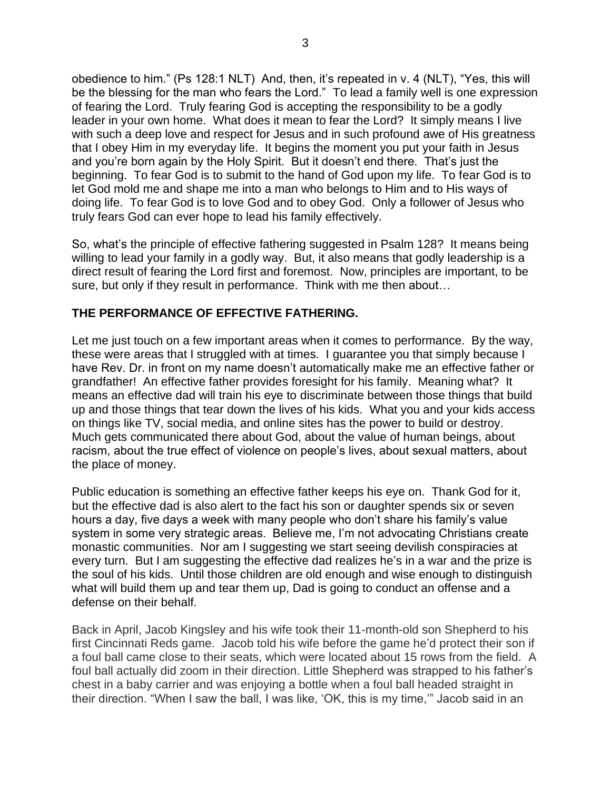obedience to him." (Ps 128:1 NLT) And, then, it's repeated in v. 4 (NLT), "Yes, this will be the blessing for the man who fears the Lord." To lead a family well is one expression of fearing the Lord. Truly fearing God is accepting the responsibility to be a godly leader in your own home. What does it mean to fear the Lord? It simply means I live with such a deep love and respect for Jesus and in such profound awe of His greatness that I obey Him in my everyday life. It begins the moment you put your faith in Jesus and you're born again by the Holy Spirit. But it doesn't end there. That's just the beginning. To fear God is to submit to the hand of God upon my life. To fear God is to let God mold me and shape me into a man who belongs to Him and to His ways of doing life. To fear God is to love God and to obey God. Only a follower of Jesus who truly fears God can ever hope to lead his family effectively.

So, what's the principle of effective fathering suggested in Psalm 128? It means being willing to lead your family in a godly way. But, it also means that godly leadership is a direct result of fearing the Lord first and foremost. Now, principles are important, to be sure, but only if they result in performance. Think with me then about…

## **THE PERFORMANCE OF EFFECTIVE FATHERING.**

Let me just touch on a few important areas when it comes to performance. By the way, these were areas that I struggled with at times. I guarantee you that simply because I have Rev. Dr. in front on my name doesn't automatically make me an effective father or grandfather! An effective father provides foresight for his family. Meaning what? It means an effective dad will train his eye to discriminate between those things that build up and those things that tear down the lives of his kids. What you and your kids access on things like TV, social media, and online sites has the power to build or destroy. Much gets communicated there about God, about the value of human beings, about racism, about the true effect of violence on people's lives, about sexual matters, about the place of money.

Public education is something an effective father keeps his eye on. Thank God for it, but the effective dad is also alert to the fact his son or daughter spends six or seven hours a day, five days a week with many people who don't share his family's value system in some very strategic areas. Believe me, I'm not advocating Christians create monastic communities. Nor am I suggesting we start seeing devilish conspiracies at every turn. But I am suggesting the effective dad realizes he's in a war and the prize is the soul of his kids. Until those children are old enough and wise enough to distinguish what will build them up and tear them up, Dad is going to conduct an offense and a defense on their behalf.

Back in April, Jacob Kingsley and his wife took their 11-month-old son Shepherd to his first Cincinnati Reds game. Jacob told his wife before the game he'd protect their son if a foul ball came close to their seats, which were located about 15 rows from the field. A foul ball actually did zoom in their direction. Little Shepherd was strapped to his father's chest in a baby carrier and was enjoying a bottle when a foul ball headed straight in their direction. "When I saw the ball, I was like, 'OK, this is my time,'" Jacob said in an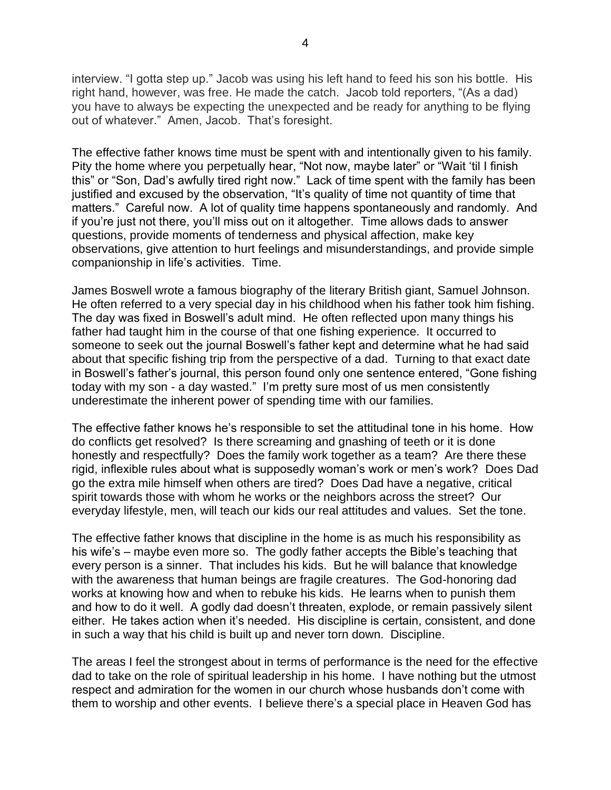interview. "I gotta step up." Jacob was using his left hand to feed his son his bottle. His right hand, however, was free. He made the catch. Jacob told reporters, "(As a dad) you have to always be expecting the unexpected and be ready for anything to be flying out of whatever." Amen, Jacob. That's foresight.

The effective father knows time must be spent with and intentionally given to his family. Pity the home where you perpetually hear, "Not now, maybe later" or "Wait 'til I finish this" or "Son, Dad's awfully tired right now." Lack of time spent with the family has been justified and excused by the observation, "It's quality of time not quantity of time that matters." Careful now. A lot of quality time happens spontaneously and randomly. And if you're just not there, you'll miss out on it altogether. Time allows dads to answer questions, provide moments of tenderness and physical affection, make key observations, give attention to hurt feelings and misunderstandings, and provide simple companionship in life's activities. Time.

James Boswell wrote a famous biography of the literary British giant, Samuel Johnson. He often referred to a very special day in his childhood when his father took him fishing. The day was fixed in Boswell's adult mind. He often reflected upon many things his father had taught him in the course of that one fishing experience. It occurred to someone to seek out the journal Boswell's father kept and determine what he had said about that specific fishing trip from the perspective of a dad. Turning to that exact date in Boswell's father's journal, this person found only one sentence entered, "Gone fishing today with my son - a day wasted." I'm pretty sure most of us men consistently underestimate the inherent power of spending time with our families.

The effective father knows he's responsible to set the attitudinal tone in his home. How do conflicts get resolved? Is there screaming and gnashing of teeth or it is done honestly and respectfully? Does the family work together as a team? Are there these rigid, inflexible rules about what is supposedly woman's work or men's work? Does Dad go the extra mile himself when others are tired? Does Dad have a negative, critical spirit towards those with whom he works or the neighbors across the street? Our everyday lifestyle, men, will teach our kids our real attitudes and values. Set the tone.

The effective father knows that discipline in the home is as much his responsibility as his wife's – maybe even more so. The godly father accepts the Bible's teaching that every person is a sinner. That includes his kids. But he will balance that knowledge with the awareness that human beings are fragile creatures. The God-honoring dad works at knowing how and when to rebuke his kids. He learns when to punish them and how to do it well. A godly dad doesn't threaten, explode, or remain passively silent either. He takes action when it's needed. His discipline is certain, consistent, and done in such a way that his child is built up and never torn down. Discipline.

The areas I feel the strongest about in terms of performance is the need for the effective dad to take on the role of spiritual leadership in his home. I have nothing but the utmost respect and admiration for the women in our church whose husbands don't come with them to worship and other events. I believe there's a special place in Heaven God has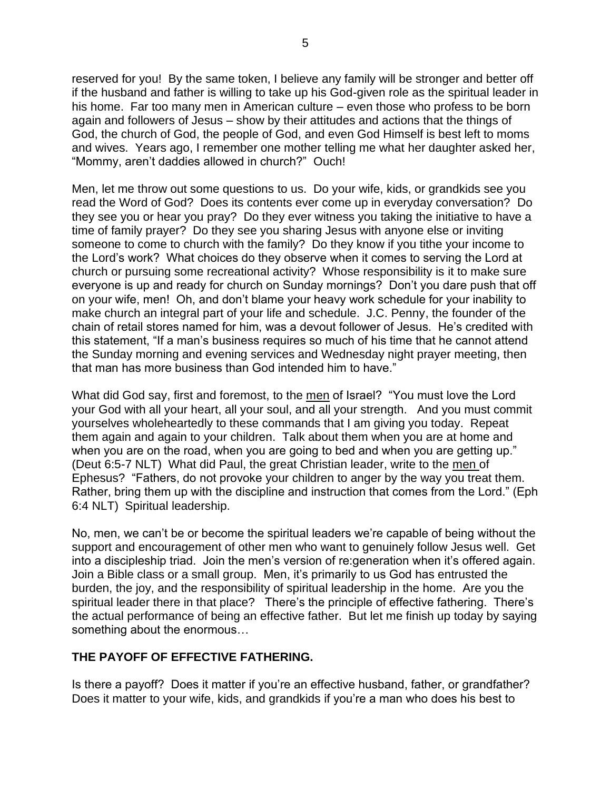reserved for you! By the same token, I believe any family will be stronger and better off if the husband and father is willing to take up his God-given role as the spiritual leader in his home. Far too many men in American culture – even those who profess to be born again and followers of Jesus – show by their attitudes and actions that the things of God, the church of God, the people of God, and even God Himself is best left to moms and wives. Years ago, I remember one mother telling me what her daughter asked her, "Mommy, aren't daddies allowed in church?" Ouch!

Men, let me throw out some questions to us. Do your wife, kids, or grandkids see you read the Word of God? Does its contents ever come up in everyday conversation? Do they see you or hear you pray? Do they ever witness you taking the initiative to have a time of family prayer? Do they see you sharing Jesus with anyone else or inviting someone to come to church with the family? Do they know if you tithe your income to the Lord's work? What choices do they observe when it comes to serving the Lord at church or pursuing some recreational activity? Whose responsibility is it to make sure everyone is up and ready for church on Sunday mornings? Don't you dare push that off on your wife, men! Oh, and don't blame your heavy work schedule for your inability to make church an integral part of your life and schedule. J.C. Penny, the founder of the chain of retail stores named for him, was a devout follower of Jesus. He's credited with this statement, "If a man's business requires so much of his time that he cannot attend the Sunday morning and evening services and Wednesday night prayer meeting, then that man has more business than God intended him to have."

What did God say, first and foremost, to the men of Israel? "You must love the Lord your God with all your heart, all your soul, and all your strength. And you must commit yourselves wholeheartedly to these commands that I am giving you today. Repeat them again and again to your children. Talk about them when you are at home and when you are on the road, when you are going to bed and when you are getting up." (Deut 6:5-7 NLT) What did Paul, the great Christian leader, write to the men of Ephesus? "Fathers, do not provoke your children to anger by the way you treat them. Rather, bring them up with the discipline and instruction that comes from the Lord." (Eph 6:4 NLT) Spiritual leadership.

No, men, we can't be or become the spiritual leaders we're capable of being without the support and encouragement of other men who want to genuinely follow Jesus well. Get into a discipleship triad. Join the men's version of re:generation when it's offered again. Join a Bible class or a small group. Men, it's primarily to us God has entrusted the burden, the joy, and the responsibility of spiritual leadership in the home. Are you the spiritual leader there in that place? There's the principle of effective fathering. There's the actual performance of being an effective father. But let me finish up today by saying something about the enormous…

## **THE PAYOFF OF EFFECTIVE FATHERING.**

Is there a payoff? Does it matter if you're an effective husband, father, or grandfather? Does it matter to your wife, kids, and grandkids if you're a man who does his best to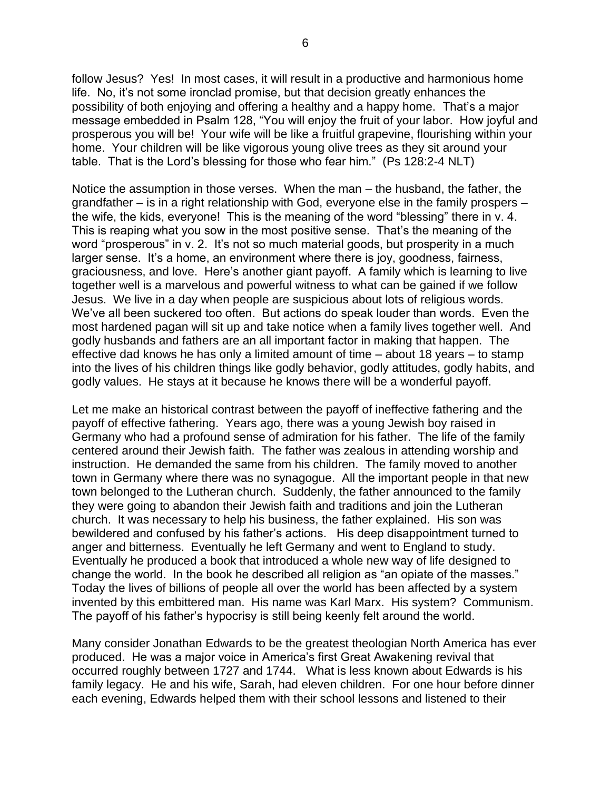follow Jesus? Yes! In most cases, it will result in a productive and harmonious home life. No, it's not some ironclad promise, but that decision greatly enhances the possibility of both enjoying and offering a healthy and a happy home. That's a major message embedded in Psalm 128, "You will enjoy the fruit of your labor. How joyful and prosperous you will be! Your wife will be like a fruitful grapevine, flourishing within your home. Your children will be like vigorous young olive trees as they sit around your table. That is the Lord's blessing for those who fear him." (Ps 128:2-4 NLT)

Notice the assumption in those verses. When the man – the husband, the father, the grandfather – is in a right relationship with God, everyone else in the family prospers – the wife, the kids, everyone! This is the meaning of the word "blessing" there in v. 4. This is reaping what you sow in the most positive sense. That's the meaning of the word "prosperous" in v. 2. It's not so much material goods, but prosperity in a much larger sense. It's a home, an environment where there is joy, goodness, fairness, graciousness, and love. Here's another giant payoff. A family which is learning to live together well is a marvelous and powerful witness to what can be gained if we follow Jesus. We live in a day when people are suspicious about lots of religious words. We've all been suckered too often. But actions do speak louder than words. Even the most hardened pagan will sit up and take notice when a family lives together well. And godly husbands and fathers are an all important factor in making that happen. The effective dad knows he has only a limited amount of time – about 18 years – to stamp into the lives of his children things like godly behavior, godly attitudes, godly habits, and godly values. He stays at it because he knows there will be a wonderful payoff.

Let me make an historical contrast between the payoff of ineffective fathering and the payoff of effective fathering. Years ago, there was a young Jewish boy raised in Germany who had a profound sense of admiration for his father. The life of the family centered around their Jewish faith. The father was zealous in attending worship and instruction. He demanded the same from his children. The family moved to another town in Germany where there was no synagogue. All the important people in that new town belonged to the Lutheran church. Suddenly, the father announced to the family they were going to abandon their Jewish faith and traditions and join the Lutheran church. It was necessary to help his business, the father explained. His son was bewildered and confused by his father's actions. His deep disappointment turned to anger and bitterness. Eventually he left Germany and went to England to study. Eventually he produced a book that introduced a whole new way of life designed to change the world. In the book he described all religion as "an opiate of the masses." Today the lives of billions of people all over the world has been affected by a system invented by this embittered man. His name was Karl Marx. His system? Communism. The payoff of his father's hypocrisy is still being keenly felt around the world.

Many consider Jonathan Edwards to be the greatest theologian North America has ever produced. He was a major voice in America's first Great Awakening revival that occurred roughly between 1727 and 1744. What is less known about Edwards is his family legacy. He and his wife, Sarah, had eleven children. For one hour before dinner each evening, Edwards helped them with their school lessons and listened to their